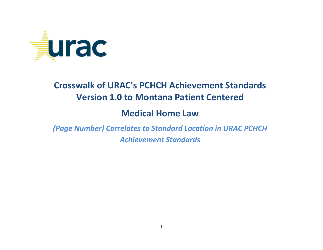

## Crosswalk of URAC's PCHCH Achievement Standards Version 1.0 to Montana Patient Centered

## Medical Home Law

(Page Number) Correlates to Standard Location in URAC PCHCH Achievement Standards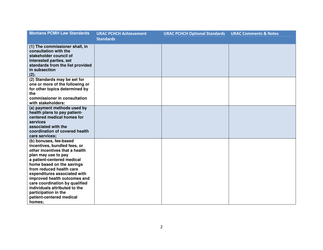| <b>Montana PCMH Law Standards</b>                                                                                                                                                                                                                                                                                                                                                                       | <b>URAC PCHCH Achievement</b><br><b>Standards</b> | <b>URAC PCHCH Optional Standards</b> | <b>URAC Comments &amp; Notes</b> |
|---------------------------------------------------------------------------------------------------------------------------------------------------------------------------------------------------------------------------------------------------------------------------------------------------------------------------------------------------------------------------------------------------------|---------------------------------------------------|--------------------------------------|----------------------------------|
| (1) The commissioner shall, in<br>consultation with the<br>stakeholder council of<br>interested parties, set<br>standards from the list provided<br>in subsection<br>(2).                                                                                                                                                                                                                               |                                                   |                                      |                                  |
| (2) Standards may be set for<br>one or more of the following or<br>for other topics determined by<br>the<br>commissioner in consultation<br>with stakeholders:                                                                                                                                                                                                                                          |                                                   |                                      |                                  |
| (a) payment methods used by<br>health plans to pay patient-<br>centered medical homes for<br>services<br>associated with the<br>coordination of covered health<br>care services;                                                                                                                                                                                                                        |                                                   |                                      |                                  |
| (b) bonuses, fee-based<br>incentives, bundled fees, or<br>other incentives that a health<br>plan may use to pay<br>a patient-centered medical<br>home based on the savings<br>from reduced health care<br>expenditures associated with<br>improved health outcomes and<br>care coordination by qualified<br>individuals attributed to the<br>participation in the<br>patient-centered medical<br>homes; |                                                   |                                      |                                  |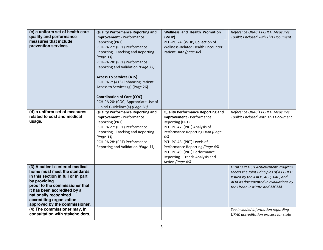| (c) a uniform set of health care<br>quality and performance<br>measures that include<br>prevention services                                                                                                                                                                 | <b>Quality Performance Reporting and</b><br><b>Improvement</b> - Performance<br>Reporting (PRT)<br>PCH-PA 27: (PRT) Performance<br>Reporting - Tracking and Reporting<br>(Page 33)<br>PCH-PA 28: (PRT) Performance<br>Reporting and Validation (Page 33)<br><b>Access To Services (ATS)</b><br>PCH-PA 7: (ATS) Enhancing Patient<br>Access to Services (g) (Page 26)<br><b>Coordination of Care (COC)</b><br>PCH-PA 20: (COC) Appropriate Use of<br>Clinical Guidelines(a) (Page 30) | <b>Wellness and Health Promotion</b><br>(WHP)<br>PCH-PO 24: (WHP) Collection of<br>Wellness-Related Health Encounter<br>Patient Data (page 42)                                                                                                                                                                                     | Reference URAC's PCHCH Measures<br>Toolkit Enclosed with This Document                                                                                                                       |
|-----------------------------------------------------------------------------------------------------------------------------------------------------------------------------------------------------------------------------------------------------------------------------|--------------------------------------------------------------------------------------------------------------------------------------------------------------------------------------------------------------------------------------------------------------------------------------------------------------------------------------------------------------------------------------------------------------------------------------------------------------------------------------|------------------------------------------------------------------------------------------------------------------------------------------------------------------------------------------------------------------------------------------------------------------------------------------------------------------------------------|----------------------------------------------------------------------------------------------------------------------------------------------------------------------------------------------|
| (d) a uniform set of measures<br>related to cost and medical<br>usage.                                                                                                                                                                                                      | <b>Quality Performance Reporting and</b><br><b>Improvement</b> - Performance<br>Reporting (PRT)<br>PCH-PA 27: (PRT) Performance<br>Reporting - Tracking and Reporting<br>(Page 33)<br>PCH-PA 28: (PRT) Performance<br>Reporting and Validation (Page 33)                                                                                                                                                                                                                             | <b>Quality Performance Reporting and</b><br><b>Improvement</b> - Performance<br>Reporting (PRT)<br>PCH-PO 47: (PRT) Analysis of<br>Performance Reporting Data (Page<br>46)<br>PCH-PO 48: (PRT) Levels of<br>Performance Reporting (Page 46)<br>PCH-PO 49: (PRT) Performance<br>Reporting - Trends Analysis and<br>Action (Page 46) | Reference URAC's PCHCH Measures<br><b>Toolkit Enclosed With This Document</b>                                                                                                                |
| (3) A patient-centered medical<br>home must meet the standards<br>in this section in full or in part<br>by providing<br>proof to the commissioner that<br>it has been accredited by a<br>nationally recognized<br>accrediting organization<br>approved by the commissioner. |                                                                                                                                                                                                                                                                                                                                                                                                                                                                                      |                                                                                                                                                                                                                                                                                                                                    | <b>URAC's PCHCH Achievement Program</b><br>Meets the Joint Principles of a PCHCH<br>Issued by the AAFP, ACP, AAP, and<br>AOA as documented in evaluations by<br>the Urban Institute and MGMA |
| (4) The commissioner may, in<br>consultation with stakeholders,                                                                                                                                                                                                             |                                                                                                                                                                                                                                                                                                                                                                                                                                                                                      |                                                                                                                                                                                                                                                                                                                                    | See included information regarding<br>URAC accreditation process for state                                                                                                                   |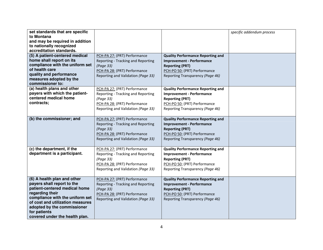| set standards that are specific<br>to Montana<br>and may be required in addition<br>to nationally recognized<br>accreditation standards.<br>(5) A patient-centered medical<br>home shall report on its<br>compliance with the uniform set<br>of health care<br>quality and performance<br>measures adopted by the | PCH-PA 27: (PRT) Performance<br>Reporting - Tracking and Reporting<br>(Page 33)<br>PCH-PA 28: (PRT) Performance<br>Reporting and Validation (Page 33) | <b>Quality Performance Reporting and</b><br><b>Improvement - Performance</b><br><b>Reporting (PRT)</b><br>PCH-PO 50: (PRT) Performance<br>Reporting Transparency (Page 46) | specific addendum process |
|-------------------------------------------------------------------------------------------------------------------------------------------------------------------------------------------------------------------------------------------------------------------------------------------------------------------|-------------------------------------------------------------------------------------------------------------------------------------------------------|----------------------------------------------------------------------------------------------------------------------------------------------------------------------------|---------------------------|
| commissioner to:<br>(a) health plans and other<br>payers with which the patient-<br>centered medical home<br>contracts;                                                                                                                                                                                           | PCH-PA 27: (PRT) Performance<br>Reporting - Tracking and Reporting<br>(Page 33)<br>PCH-PA 28: (PRT) Performance<br>Reporting and Validation (Page 33) | <b>Quality Performance Reporting and</b><br><b>Improvement - Performance</b><br><b>Reporting (PRT)</b><br>PCH-PO 50: (PRT) Performance<br>Reporting Transparency (Page 46) |                           |
| (b) the commissioner; and                                                                                                                                                                                                                                                                                         | PCH-PA 27: (PRT) Performance<br>Reporting - Tracking and Reporting<br>(Page 33)<br>PCH-PA 28: (PRT) Performance<br>Reporting and Validation (Page 33) | <b>Quality Performance Reporting and</b><br><b>Improvement - Performance</b><br><b>Reporting (PRT)</b><br>PCH-PO 50: (PRT) Performance<br>Reporting Transparency (Page 46) |                           |
| (c) the department, if the<br>department is a participant.                                                                                                                                                                                                                                                        | PCH-PA 27: (PRT) Performance<br>Reporting - Tracking and Reporting<br>(Page 33)<br>PCH-PA 28: (PRT) Performance<br>Reporting and Validation (Page 33) | <b>Quality Performance Reporting and</b><br><b>Improvement - Performance</b><br><b>Reporting (PRT)</b><br>PCH-PO 50: (PRT) Performance<br>Reporting Transparency (Page 46) |                           |
| (6) A health plan and other<br>payers shall report to the<br>patient-centered medical home<br>regarding their<br>compliance with the uniform set<br>of cost and utilization measures<br>adopted by the commissioner<br>for patients<br>covered under the health plan.                                             | PCH-PA 27: (PRT) Performance<br>Reporting - Tracking and Reporting<br>(Page 33)<br>PCH-PA 28: (PRT) Performance<br>Reporting and Validation (Page 33) | <b>Quality Performance Reporting and</b><br><b>Improvement - Performance</b><br><b>Reporting (PRT)</b><br>PCH-PO 50: (PRT) Performance<br>Reporting Transparency (Page 46) |                           |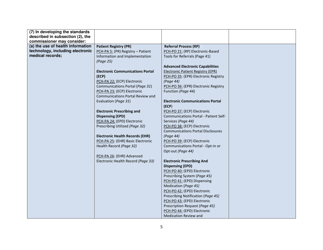| (7) In developing the standards   |                                         |                                          |  |
|-----------------------------------|-----------------------------------------|------------------------------------------|--|
| described in subsection (2), the  |                                         |                                          |  |
| commissioner may consider:        |                                         |                                          |  |
| (a) the use of health information | <b>Patient Registry (PR)</b>            | <b>Referral Process (RP)</b>             |  |
| technology, including electronic  | PCH-PA 5: (PR) Registry - Patient       | PCH-PO 21: (RP) Electronic-Based         |  |
| medical records;                  | Information and Implementation          | Tools for Referrals (Page 41)            |  |
|                                   | (Page 25)                               |                                          |  |
|                                   |                                         | <b>Advanced Electronic Capabilities</b>  |  |
|                                   | <b>Electronic Communications Portal</b> | <b>Electronic Patient Registry (EPR)</b> |  |
|                                   | (ECP)                                   | PCH-PO 35: (EPR) Electronic Registry     |  |
|                                   | PCH-PA 22: (ECP) Electronic             | (Page 44)                                |  |
|                                   | Communications Portal (Page 31)         | PCH-PO 36: (EPR) Electronic Registry     |  |
|                                   | PCH-PA 23: (ECP) Electronic             | Function (Page 44)                       |  |
|                                   | <b>Communications Portal Review and</b> |                                          |  |
|                                   | Evaluation (Page 31)                    | <b>Electronic Communications Portal</b>  |  |
|                                   |                                         | (ECP)                                    |  |
|                                   | <b>Electronic Prescribing and</b>       | PCH-PO 37: (ECP) Electronic              |  |
|                                   | <b>Dispensing (EPD)</b>                 | Communications Portal - Patient Self-    |  |
|                                   | PCH-PA 24: (EPD) Electronic             | Services (Page 44)                       |  |
|                                   | Prescribing Utilized (Page 32)          | PCH-PO 38: (ECP) Electronic              |  |
|                                   |                                         | <b>Communications Portal Disclosures</b> |  |
|                                   | <b>Electronic Health Records (EHR)</b>  | (Page 44)                                |  |
|                                   | PCH-PA 25: (EHR) Basic Electronic       | PCH-PO 39: (ECP) Electronic              |  |
|                                   | Health Record (Page 32)                 | Communications Portal - Opt-in or        |  |
|                                   |                                         | Opt-out (Page 44)                        |  |
|                                   | PCH-PA 26: (EHR) Advanced               |                                          |  |
|                                   | Electronic Health Record (Page 33)      | <b>Electronic Prescribing And</b>        |  |
|                                   |                                         | <b>Dispensing (EPD)</b>                  |  |
|                                   |                                         | PCH-PO 40: (EPD) Electronic              |  |
|                                   |                                         | Prescribing System (Page 45)             |  |
|                                   |                                         | PCH-PO 41: (EPD) Dispensing              |  |
|                                   |                                         | Medication (Page 45)                     |  |
|                                   |                                         | PCH-PO 42: (EPD) Electronic              |  |
|                                   |                                         | Prescribing Notification (Page 45)       |  |
|                                   |                                         | PCH-PO 43: (EPD) Electronic              |  |
|                                   |                                         | Prescription Request (Page 45)           |  |
|                                   |                                         | PCH-PO 44: (EPD) Electronic              |  |
|                                   |                                         | <b>Medication Review and</b>             |  |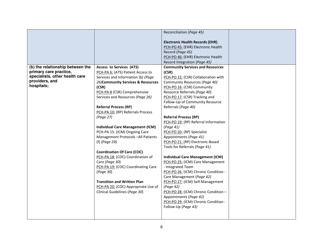| <b>Electronic Health Records (EHR)</b><br>PCH-PO 45: (EHR) Electronic Health<br>Record (Page 45)                                                                                                                                                                                                                                                                                                                                                                                                                                                                                                                                                                                                                                                                                                                                                                                                                                                                                                                                                                                                                                                                                                                                                                                                                                                                                                                                                                                                                                                                                                                                                                                                                                                |  |
|-------------------------------------------------------------------------------------------------------------------------------------------------------------------------------------------------------------------------------------------------------------------------------------------------------------------------------------------------------------------------------------------------------------------------------------------------------------------------------------------------------------------------------------------------------------------------------------------------------------------------------------------------------------------------------------------------------------------------------------------------------------------------------------------------------------------------------------------------------------------------------------------------------------------------------------------------------------------------------------------------------------------------------------------------------------------------------------------------------------------------------------------------------------------------------------------------------------------------------------------------------------------------------------------------------------------------------------------------------------------------------------------------------------------------------------------------------------------------------------------------------------------------------------------------------------------------------------------------------------------------------------------------------------------------------------------------------------------------------------------------|--|
| PCH-PO 46: (EHR) Electronic Health                                                                                                                                                                                                                                                                                                                                                                                                                                                                                                                                                                                                                                                                                                                                                                                                                                                                                                                                                                                                                                                                                                                                                                                                                                                                                                                                                                                                                                                                                                                                                                                                                                                                                                              |  |
| Record Integration (Page 45)<br>(b) the relationship between the<br><b>Community Services and Resources</b><br><b>Access to Services (ATS)</b><br>primary care practice,<br>(CSR)<br>PCH-PA 6: (ATS) Patient Access to<br>specialists, other health care<br>Services and Information (b) (Page<br>PCH-PO 15: (CSR) Collaboration with<br>providers, and<br>26) Community Services & Resources<br>Community Resources (Page 40)<br>hospitals;<br>(CSR)<br>PCH-PO 16: (CSR) Community<br>PCH-PA 8 (CSR) Comprehensive<br>Resource Referrals (Page 40)<br>Services and Resources (Page 26)<br>PCH-PO 17: (CSR) Tracking and<br>Follow-Up of Community Resource<br><b>Referral Process (RP)</b><br>Referrals (Page 40)<br>PCH-PA 10: (RP) Referrals Process<br><b>Referral Process (RP)</b><br>(Page 27)<br>PCH-PO 19: (RP) Referral Information<br><b>Individual Care Management (ICM)</b><br>(Page 41)<br>PCH-PA 15: (ICM) Ongoing Care<br>PCH-PO 20: (RP) Specialist<br>Management Protocols-All Patients<br>Appointments (Page 41)<br>(f) (Page 29)<br>PCH-PO 21: (RP) Electronic-Based<br>Tools for Referrals (Page 41)<br><b>Coordination Of Care (COC)</b><br>PCH-PA 18: (COC) Coordination of<br><b>Individual Care Management (ICM)</b><br>Care (Page 30)<br>PCH-PO 25: (ICM) Care Management<br>PCH-PA 19: (COC) Coordinating Care<br>- Integrated Team<br>(Page 30)<br>PCH-PO 26: (ICM) Chronic Condition -<br>Care Management (Page 42)<br><b>Transition and Written Plan</b><br>PCH-PO 27: (ICM) Self-Management<br>PCH-PA 20: (COC) Appropriate Use of<br>(Page 42)<br>Clinical Guidelines (Page 30)<br>PCH-PO 28: (ICM) Chronic Condition -<br>Appointments (Page 42)<br>PCH-PO 29: (ICM) Chronic Condition -<br>Follow-Up (Page 43) |  |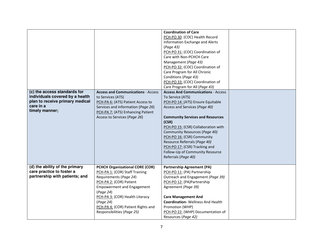|                                                                                                                                   |                                                                                                                                                                                                                                                                                                     | <b>Coordination of Care</b><br>PCH-PO 30: (COC) Health Record<br>Information Exchange and Alerts<br>(Page 43)<br>PCH-PO 31: (COC) Coordination of<br>Care with Non-PCHCH Care<br>Management (Page 43)<br>PCH-PO 32: (COC) Coordination of<br>Care Program for All Chronic<br>Conditions (Page 43)                                                                                                                        |  |
|-----------------------------------------------------------------------------------------------------------------------------------|-----------------------------------------------------------------------------------------------------------------------------------------------------------------------------------------------------------------------------------------------------------------------------------------------------|--------------------------------------------------------------------------------------------------------------------------------------------------------------------------------------------------------------------------------------------------------------------------------------------------------------------------------------------------------------------------------------------------------------------------|--|
|                                                                                                                                   |                                                                                                                                                                                                                                                                                                     | PCH-PO 33: (COC) Coordination of                                                                                                                                                                                                                                                                                                                                                                                         |  |
|                                                                                                                                   |                                                                                                                                                                                                                                                                                                     | Care Program for All (Page 43)                                                                                                                                                                                                                                                                                                                                                                                           |  |
| (c) the access standards for<br>individuals covered by a health<br>plan to receive primary medical<br>care in a<br>timely manner; | <b>Access and Communications - Access</b><br>to Services (ATS)<br>PCH-PA 6: (ATS) Patient Access to<br>Services and Information (Page 26)<br>PCH-PA 7: (ATS) Enhancing Patient<br>Access to Services (Page 26)                                                                                      | <b>Access And Communications - Access</b><br>To Service (ATS)<br>PCH-PO 14: (ATS) Ensure Equitable<br>Access and Services (Page 40)<br><b>Community Services and Resources</b><br>(CSR)<br>PCH-PO 15: (CSR) Collaboration with<br>Community Resources (Page 40)<br>PCH-PO 16: (CSR) Community<br>Resource Referrals (Page 40)<br>PCH-PO 17: (CSR) Tracking and<br>Follow-Up of Community Resource<br>Referrals (Page 40) |  |
| (d) the ability of the primary<br>care practice to foster a<br>partnership with patients; and                                     | <b>PCHCH Organizational CORE (COR)</b><br>PCH-PA 1: (COR) Staff Training<br>Requirements (Page 24)<br>PCH-PA 2: (COR) Patient<br><b>Empowerment and Engagement</b><br>(Page 24)<br>PCH-PA 3: (COR) Health Literacy<br>(Page 24)<br>PCH-PA 4: (COR) Patient Rights and<br>Responsibilities (Page 25) | <b>Partnership Agreement (PA)</b><br>PCH-PO 11: (PA) Partnership<br>Outreach and Engagement (Page 39)<br>PCH-PO 12: (PA)Partnership<br>Agreement (Page 39)<br><b>Care Management And</b><br><b>Coordination-</b> Wellness And Health<br>Promotion (WHP)<br>PCH-PO 22: (WHP) Documentation of<br>Resources (Page 42)                                                                                                      |  |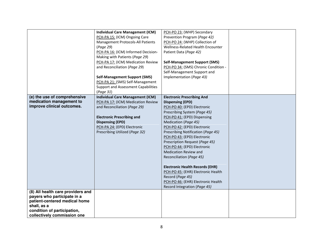|                                   | <b>Individual Care Management (ICM)</b>    | PCH-PO 23: (WHP) Secondary             |  |
|-----------------------------------|--------------------------------------------|----------------------------------------|--|
|                                   | PCH-PA 15: (ICM) Ongoing Care              | Prevention Program (Page 42)           |  |
|                                   | Management Protocols-All Patients          | PCH-PO 24: (WHP) Collection of         |  |
|                                   | (Page 29)                                  | Wellness-Related Health Encounter      |  |
|                                   | PCH-PA 16: (ICM) Informed Decision-        | Patient Data (Page 42)                 |  |
|                                   | Making with Patients (Page 29)             |                                        |  |
|                                   | PCH-PA 17: (ICM) Medication Review         | <b>Self-Management Support (SMS)</b>   |  |
|                                   | and Reconciliation (Page 29)               | PCH-PO 34: (SMS) Chronic Condition -   |  |
|                                   |                                            | Self-Management Support and            |  |
|                                   | <b>Self-Management Support (SMS)</b>       | Implementation (Page 43)               |  |
|                                   | PCH-PA 21: (SMS) Self-Management           |                                        |  |
|                                   | <b>Support and Assessment Capabilities</b> |                                        |  |
|                                   | (Page 31)                                  |                                        |  |
| (e) the use of comprehensive      | <b>Individual Care Management (ICM)</b>    | <b>Electronic Prescribing And</b>      |  |
| medication management to          | PCH-PA 17: (ICM) Medication Review         | <b>Dispensing (EPD)</b>                |  |
| improve clinical outcomes.        | and Reconciliation (Page 29)               | PCH-PO 40: (EPD) Electronic            |  |
|                                   |                                            | Prescribing System (Page 45)           |  |
|                                   | <b>Electronic Prescribing and</b>          | PCH-PO 41: (EPD) Dispensing            |  |
|                                   | <b>Dispensing (EPD)</b>                    | Medication (Page 45)                   |  |
|                                   | PCH-PA 24: (EPD) Electronic                | PCH-PO 42: (EPD) Electronic            |  |
|                                   | Prescribing Utilized (Page 32)             | Prescribing Notification (Page 45)     |  |
|                                   |                                            | PCH-PO 43: (EPD) Electronic            |  |
|                                   |                                            | Prescription Request (Page 45)         |  |
|                                   |                                            | PCH-PO 44: (EPD) Electronic            |  |
|                                   |                                            | <b>Medication Review and</b>           |  |
|                                   |                                            | Reconciliation (Page 45)               |  |
|                                   |                                            |                                        |  |
|                                   |                                            | <b>Electronic Health Records (EHR)</b> |  |
|                                   |                                            | PCH-PO 45: (EHR) Electronic Health     |  |
|                                   |                                            | Record (Page 45)                       |  |
|                                   |                                            | PCH-PO 46: (EHR) Electronic Health     |  |
|                                   |                                            | Record Integration (Page 45)           |  |
| (8) All health care providers and |                                            |                                        |  |
| payers who participate in a       |                                            |                                        |  |
| patient-centered medical home     |                                            |                                        |  |
| shall, as a                       |                                            |                                        |  |
| condition of participation,       |                                            |                                        |  |
| collectively commission one       |                                            |                                        |  |